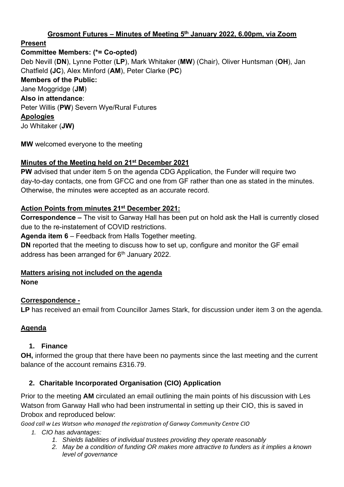## **Grosmont Futures – Minutes of Meeting 5 th January 2022, 6.00pm, via Zoom**

# **Present**

**Committee Members: (\*= Co-opted)**

Deb Nevill (**DN**), Lynne Potter (**LP**), Mark Whitaker (**MW**) (Chair), Oliver Huntsman (**OH**), Jan Chatfield **(JC**), Alex Minford (**AM**), Peter Clarke (**PC**) **Members of the Public:** Jane Moggridge (**JM**) **Also in attendance**: Peter Willis (**PW**) Severn Wye/Rural Futures **Apologies** Jo Whitaker (**JW)**

**MW** welcomed everyone to the meeting

# **Minutes of the Meeting held on 21 st December 2021**

**PW** advised that under item 5 on the agenda CDG Application, the Funder will require two day-to-day contacts, one from GFCC and one from GF rather than one as stated in the minutes. Otherwise, the minutes were accepted as an accurate record.

# **Action Points from minutes 21 st December 2021:**

**Correspondence –** The visit to Garway Hall has been put on hold ask the Hall is currently closed due to the re-instatement of COVID restrictions.

**Agenda item 6** – Feedback from Halls Together meeting.

**DN** reported that the meeting to discuss how to set up, configure and monitor the GF email address has been arranged for  $6<sup>th</sup>$  January 2022.

# **Matters arising not included on the agenda**

**None**

# **Correspondence -**

**LP** has received an email from Councillor James Stark, for discussion under item 3 on the agenda.

# **Agenda**

# **1. Finance**

**OH,** informed the group that there have been no payments since the last meeting and the current balance of the account remains £316.79.

# **2. Charitable Incorporated Organisation (CIO) Application**

Prior to the meeting **AM** circulated an email outlining the main points of his discussion with Les Watson from Garway Hall who had been instrumental in setting up their CIO, this is saved in Drobox and reproduced below:

*Good call w Les Watson who managed the registration of Garway Community Centre CIO*

### *1. CIO has advantages:*

- *1. Shields liabilities of individual trustees providing they operate reasonably*
- *2. May be a condition of funding OR makes more attractive to funders as it implies a known level of governance*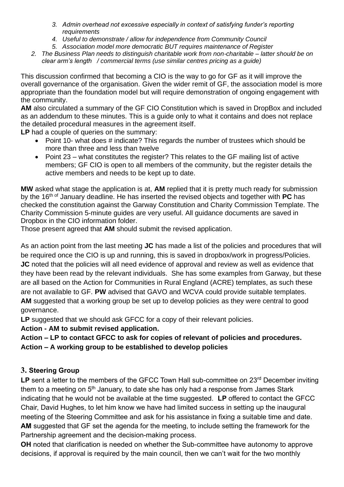- *3. Admin overhead not excessive especially in context of satisfying funder's reporting requirements*
- *4. Useful to demonstrate / allow for independence from Community Council*
- *5. Association model more democratic BUT requires maintenance of Register*
- *2. The Business Plan needs to distinguish charitable work from non-charitable – latter should be on clear arm's length / commercial terms (use similar centres pricing as a guide)*

This discussion confirmed that becoming a CIO is the way to go for GF as it will improve the overall governance of the organisation. Given the wider remit of GF, the association model is more appropriate than the foundation model but will require demonstration of ongoing engagement with the community.

**AM** also circulated a summary of the GF CIO Constitution which is saved in DropBox and included as an addendum to these minutes. This is a guide only to what it contains and does not replace the detailed procedural measures in the agreement itself.

**LP** had a couple of queries on the summary:

- Point 10- what does # indicate? This regards the number of trustees which should be more than three and less than twelve
- Point 23 what constitutes the register? This relates to the GF mailing list of active members; GF CIO is open to all members of the community, but the register details the active members and needs to be kept up to date.

**MW** asked what stage the application is at, **AM** replied that it is pretty much ready for submission by the 16th of January deadline. He has inserted the revised objects and together with **PC** has checked the constitution against the Garway Constitution and Charity Commission Template. The Charity Commission 5-minute guides are very useful. All guidance documents are saved in Dropbox in the CIO information folder.

Those present agreed that **AM** should submit the revised application.

As an action point from the last meeting **JC** has made a list of the policies and procedures that will be required once the CIO is up and running, this is saved in dropbox/work in progress/Policies. **JC** noted that the policies will all need evidence of approval and review as well as evidence that they have been read by the relevant individuals. She has some examples from Garway, but these are all based on the Action for Communities in Rural England (ACRE) templates, as such these are not available to GF. **PW** advised that GAVO and WCVA could provide suitable templates. **AM** suggested that a working group be set up to develop policies as they were central to good governance.

**LP** suggested that we should ask GFCC for a copy of their relevant policies.

**Action - AM to submit revised application.**

**Action – LP to contact GFCC to ask for copies of relevant of policies and procedures. Action – A working group to be established to develop policies**

# **3. Steering Group**

LP sent a letter to the members of the GFCC Town Hall sub-committee on 23<sup>rd</sup> December inviting them to a meeting on 5<sup>th</sup> January, to date she has only had a response from James Stark indicating that he would not be available at the time suggested. **LP** offered to contact the GFCC Chair, David Hughes, to let him know we have had limited success in setting up the inaugural meeting of the Steering Committee and ask for his assistance in fixing a suitable time and date. **AM** suggested that GF set the agenda for the meeting, to include setting the framework for the Partnership agreement and the decision-making process.

**OH** noted that clarification is needed on whether the Sub-committee have autonomy to approve decisions, if approval is required by the main council, then we can't wait for the two monthly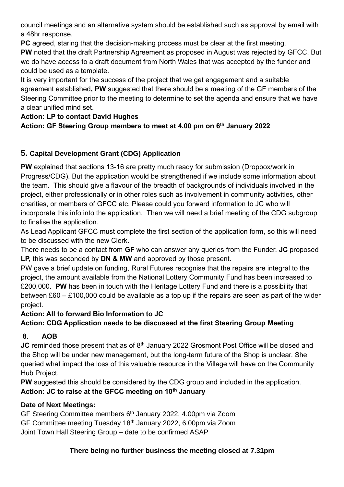council meetings and an alternative system should be established such as approval by email with a 48hr response.

**PC** agreed, staring that the decision-making process must be clear at the first meeting.

**PW** noted that the draft Partnership Agreement as proposed in August was rejected by GFCC. But we do have access to a draft document from North Wales that was accepted by the funder and could be used as a template.

It is very important for the success of the project that we get engagement and a suitable agreement established**, PW** suggested that there should be a meeting of the GF members of the Steering Committee prior to the meeting to determine to set the agenda and ensure that we have a clear unified mind set.

# **Action: LP to contact David Hughes**

# **Action: GF Steering Group members to meet at 4.00 pm on 6th January 2022**

# **5. Capital Development Grant (CDG) Application**

**PW** explained that sections 13-16 are pretty much ready for submission (Dropbox/work in Progress/CDG). But the application would be strengthened if we include some information about the team. This should give a flavour of the breadth of backgrounds of individuals involved in the project, either professionally or in other roles such as involvement in community activities, other charities, or members of GFCC etc. Please could you forward information to JC who will incorporate this info into the application. Then we will need a brief meeting of the CDG subgroup to finalise the application.

As Lead Applicant GFCC must complete the first section of the application form, so this will need to be discussed with the new Clerk.

There needs to be a contact from **GF** who can answer any queries from the Funder. **JC** proposed **LP,** this was seconded by **DN & MW** and approved by those present.

PW gave a brief update on funding, Rural Futures recognise that the repairs are integral to the project, the amount available from the National Lottery Community Fund has been increased to £200,000. **PW** has been in touch with the Heritage Lottery Fund and there is a possibility that between £60 – £100,000 could be available as a top up if the repairs are seen as part of the wider project.

# **Action: All to forward Bio Information to JC**

**Action: CDG Application needs to be discussed at the first Steering Group Meeting** 

# **8. AOB**

**JC** reminded those present that as of 8<sup>th</sup> January 2022 Grosmont Post Office will be closed and the Shop will be under new management, but the long-term future of the Shop is unclear. She queried what impact the loss of this valuable resource in the Village will have on the Community Hub Project.

**PW** suggested this should be considered by the CDG group and included in the application. **Action: JC to raise at the GFCC meeting on 10th January** 

# **Date of Next Meetings:**

GF Steering Committee members 6<sup>th</sup> January 2022, 4.00pm via Zoom GF Committee meeting Tuesday 18th January 2022, 6.00pm via Zoom Joint Town Hall Steering Group – date to be confirmed ASAP

# **There being no further business the meeting closed at 7.31pm**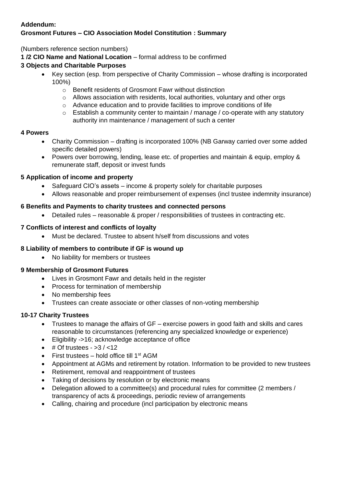### **Addendum: Grosmont Futures – CIO Association Model Constitution : Summary**

(Numbers reference section numbers)

**1 /2 CIO Name and National Location** – formal address to be confirmed

## **3 Objects and Charitable Purposes**

- Key section (esp. from perspective of Charity Commission whose drafting is incorporated 100%)
	- o Benefit residents of Grosmont Fawr without distinction
	- $\circ$  Allows association with residents, local authorities, voluntary and other orgs
	- o Advance education and to provide facilities to improve conditions of life
	- $\circ$  Establish a community center to maintain / manage / co-operate with any statutory authority inn maintenance / management of such a center

### **4 Powers**

- Charity Commission drafting is incorporated 100% (NB Garway carried over some added specific detailed powers)
- Powers over borrowing, lending, lease etc. of properties and maintain & equip, employ & remunerate staff, deposit or invest funds

### **5 Application of income and property**

- Safeguard CIO's assets income & property solely for charitable purposes
- Allows reasonable and proper reimbursement of expenses (incl trustee indemnity insurance)

### **6 Benefits and Payments to charity trustees and connected persons**

• Detailed rules – reasonable & proper / responsibilities of trustees in contracting etc.

### **7 Conflicts of interest and conflicts of loyalty**

• Must be declared. Trustee to absent h/self from discussions and votes

### **8 Liability of members to contribute if GF is wound up**

• No liability for members or trustees

### **9 Membership of Grosmont Futures**

- Lives in Grosmont Fawr and details held in the register
- Process for termination of membership
- No membership fees
- Trustees can create associate or other classes of non-voting membership

### **10-17 Charity Trustees**

- Trustees to manage the affairs of GF exercise powers in good faith and skills and cares reasonable to circumstances (referencing any specialized knowledge or experience)
- Eligibility ->16; acknowledge acceptance of office
- $\bullet$  # Of trustees  $-$  > 3 / < 12
- First trustees hold office till  $1<sup>st</sup> AGM$
- Appointment at AGMs and retirement by rotation. Information to be provided to new trustees
- Retirement, removal and reappointment of trustees
- Taking of decisions by resolution or by electronic means
- Delegation allowed to a committee(s) and procedural rules for committee (2 members / transparency of acts & proceedings, periodic review of arrangements
- Calling, chairing and procedure (incl participation by electronic means